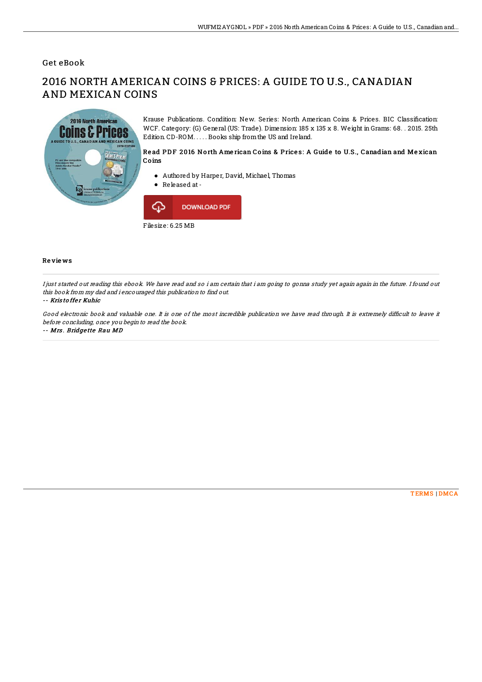## Get eBook

# 2016 NORTH AMERICAN COINS & PRICES: A GUIDE TO U.S., CANADIAN AND MEXICAN COINS



Krause Publications. Condition: New. Series: North American Coins & Prices. BIC Classification: WCF. Category: (G) General (US: Trade). Dimension: 185 x 135 x 8. Weight in Grams: 68. . 2015. 25th Edition. CD-ROM. . . . . Books ship fromthe US and Ireland.

### Read PDF 2016 North American Coins & Prices: A Guide to U.S., Canadian and Mexican Co ins

- Authored by Harper, David, Michael, Thomas
- Released at-



#### Re vie ws

I just started out reading this ebook. We have read and so i am certain that i am going to gonna study yet again again in the future. I found out this book from my dad and i encouraged this publication to find out.

#### -- Kris to ffe <sup>r</sup> Kuhic

Good electronic book and valuable one. It is one of the most incredible publication we have read through. It is extremely difficult to leave it before concluding, once you begin to read the book.

-- Mrs . Bridge tte Rau MD